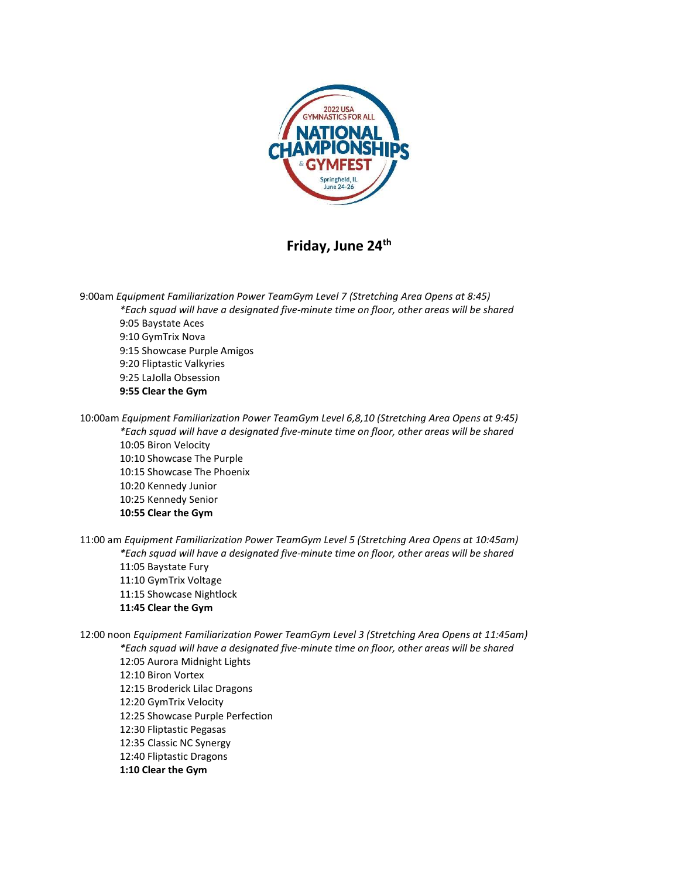

## Friday, June 24<sup>th</sup>

9:00am Equipment Familiarization Power TeamGym Level 7 (Stretching Area Opens at 8:45) \*Each squad will have a designated five-minute time on floor, other areas will be shared 9:05 Baystate Aces 9:10 GymTrix Nova 9:15 Showcase Purple Amigos 9:20 Fliptastic Valkyries 9:25 LaJolla Obsession 9:55 Clear the Gym

10:00am Equipment Familiarization Power TeamGym Level 6,8,10 (Stretching Area Opens at 9:45) \*Each squad will have a designated five-minute time on floor, other areas will be shared 10:05 Biron Velocity 10:10 Showcase The Purple 10:15 Showcase The Phoenix 10:20 Kennedy Junior 10:25 Kennedy Senior 10:55 Clear the Gym

11:00 am Equipment Familiarization Power TeamGym Level 5 (Stretching Area Opens at 10:45am) \*Each squad will have a designated five-minute time on floor, other areas will be shared 11:05 Baystate Fury 11:10 GymTrix Voltage 11:15 Showcase Nightlock 11:45 Clear the Gym

12:00 noon Equipment Familiarization Power TeamGym Level 3 (Stretching Area Opens at 11:45am) \*Each squad will have a designated five-minute time on floor, other areas will be shared

12:05 Aurora Midnight Lights 12:10 Biron Vortex 12:15 Broderick Lilac Dragons 12:20 GymTrix Velocity 12:25 Showcase Purple Perfection 12:30 Fliptastic Pegasas 12:35 Classic NC Synergy 12:40 Fliptastic Dragons 1:10 Clear the Gym